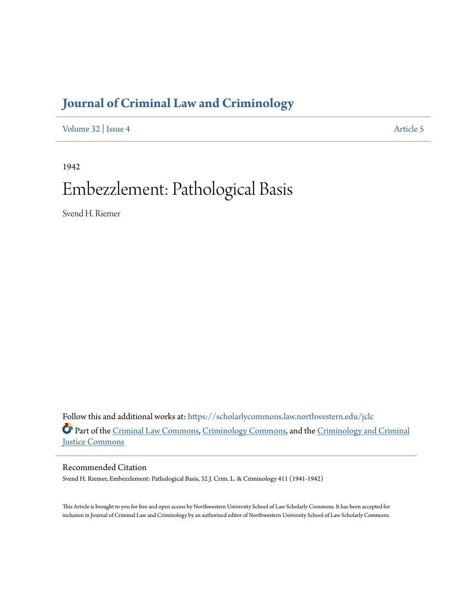## **[Journal of Criminal Law and Criminology](https://scholarlycommons.law.northwestern.edu/jclc?utm_source=scholarlycommons.law.northwestern.edu%2Fjclc%2Fvol32%2Fiss4%2F5&utm_medium=PDF&utm_campaign=PDFCoverPages)**

[Volume 32](https://scholarlycommons.law.northwestern.edu/jclc/vol32?utm_source=scholarlycommons.law.northwestern.edu%2Fjclc%2Fvol32%2Fiss4%2F5&utm_medium=PDF&utm_campaign=PDFCoverPages) | [Issue 4](https://scholarlycommons.law.northwestern.edu/jclc/vol32/iss4?utm_source=scholarlycommons.law.northwestern.edu%2Fjclc%2Fvol32%2Fiss4%2F5&utm_medium=PDF&utm_campaign=PDFCoverPages) [Article 5](https://scholarlycommons.law.northwestern.edu/jclc/vol32/iss4/5?utm_source=scholarlycommons.law.northwestern.edu%2Fjclc%2Fvol32%2Fiss4%2F5&utm_medium=PDF&utm_campaign=PDFCoverPages)

# 1942 Embezzlement: Pathological Basis

Svend H. Riemer

Follow this and additional works at: [https://scholarlycommons.law.northwestern.edu/jclc](https://scholarlycommons.law.northwestern.edu/jclc?utm_source=scholarlycommons.law.northwestern.edu%2Fjclc%2Fvol32%2Fiss4%2F5&utm_medium=PDF&utm_campaign=PDFCoverPages) Part of the [Criminal Law Commons](http://network.bepress.com/hgg/discipline/912?utm_source=scholarlycommons.law.northwestern.edu%2Fjclc%2Fvol32%2Fiss4%2F5&utm_medium=PDF&utm_campaign=PDFCoverPages), [Criminology Commons](http://network.bepress.com/hgg/discipline/417?utm_source=scholarlycommons.law.northwestern.edu%2Fjclc%2Fvol32%2Fiss4%2F5&utm_medium=PDF&utm_campaign=PDFCoverPages), and the [Criminology and Criminal](http://network.bepress.com/hgg/discipline/367?utm_source=scholarlycommons.law.northwestern.edu%2Fjclc%2Fvol32%2Fiss4%2F5&utm_medium=PDF&utm_campaign=PDFCoverPages) [Justice Commons](http://network.bepress.com/hgg/discipline/367?utm_source=scholarlycommons.law.northwestern.edu%2Fjclc%2Fvol32%2Fiss4%2F5&utm_medium=PDF&utm_campaign=PDFCoverPages)

## Recommended Citation

Svend H. Riemer, Embezzlement: Pathological Basis, 32 J. Crim. L. & Criminology 411 (1941-1942)

This Article is brought to you for free and open access by Northwestern University School of Law Scholarly Commons. It has been accepted for inclusion in Journal of Criminal Law and Criminology by an authorized editor of Northwestern University School of Law Scholarly Commons.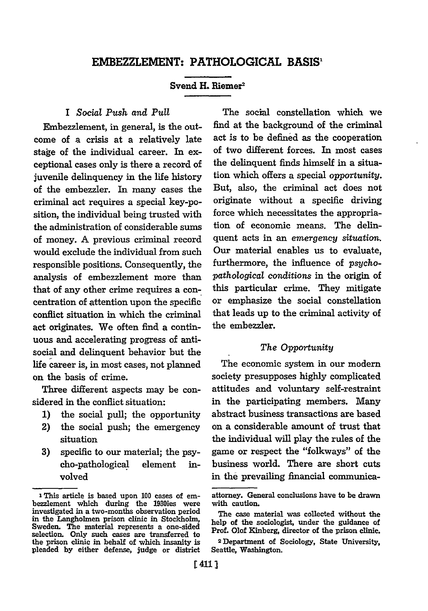## **EMBEZZLEMENT: PATHOLOGICAL BASIS1**

## Svend H. Riemer<sup>2</sup>

## I *Social Push and* Pull

Embezzlement, in general, is the outcome of a crisis at a relatively late stage of the individual career. In exceptional cases only is there a record of juvenile delinquency in the life history of the embezzler. In many cases the criminal act requires a special key-position, the individual being trusted with the administration of considerable sums of money. A previous criminal record would exclude the individual from such responsible positions. Consequently, the analysis of embezzlement more than that of any other crime requires a concentration of attention upon the specific conflict situation in which the criminal act originates. We often find a continuous and accelerating progress of antisocial and delinquent behavior but the life career is, in most cases, not planned on the basis of crime.

Three different aspects may be considered in the conflict situation:

- **1)** the social pull; the opportunity
- 2) the social push; the emergency situation
- **3)** specific to our material; the psycho-pathological element involved

The social constellation which we find at the background of the criminal act is to be defined as the cooperation of two different forces. In most cases the delinquent finds himself in a situation which offers a special *opportunity.* But, also, the criminal act does not originate without a specific driving force which necessitates the appropriation of economic means. The delinquent acts in an *emergency situation.* Our material enables us to evaluate, furthermore, the influence of *psychopathological conditions* in the origin of this particular crime. They mitigate or emphasize the social constellation that leads up to the criminal activity of the embezzler.

## *The Opportunity*

The economic system in our modern society presupposes highly complicated attitudes and voluntary self-restraint in the participating members. Many abstract business transactions are based on a considerable amount of trust that the individual will play the rules of the game or respect the "folkways" of the business world. There are short cuts in the prevailing financial communica-

**<sup>1</sup>**This article is based upon **100** cases of em- bezzlement which during the 1930ies were investigated in a two-months observation period in the Langholmen prison clinic in Stockholm, Sweden. The material represents a one-sided selection. Only such cases are transferred to the prison clinic in behalf of which insanity is pleaded by either defense, judge or district

attorney. General conclusions have to be drawn with caution.

The case material was collected without the help of the sociologist, under the guidance of Prof. Olof Kinberg, director of the prison clinic.

**<sup>2</sup>** Department of Sociology, State University, Seattle, Washington.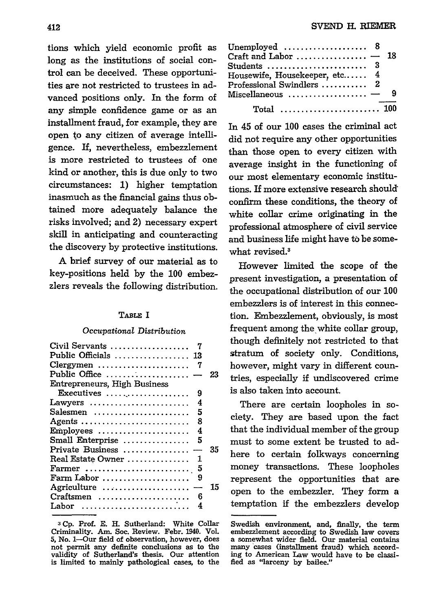tions which yield economic profit as long as the institutions of social control can be deceived. These opportunities are not restricted to trustees in advanced positions only. In the form of any simple confidence game or as an installment fraud, for example, they are open to any citizen of average intelligence. If, nevertheless, embezzlement is more restricted to trustees of one kind or another, this is due only to two circumstances: 1) higher temptation inasmuch as the financial gains thus obtained more adequately balance the risks involved; and 2) necessary expert skill in anticipating and counteracting the discovery by protective institutions.

A brief survey of our material as to key-positions held **by** the 100 embezzlers reveals the following distribution.

#### **TABLE** I

#### *Occupational Distribution*

| Civil Servants                                     | - 7 |    |
|----------------------------------------------------|-----|----|
| Public Officials  13                               |     |    |
| Clergymen  7                                       |     |    |
| Public Office $\ldots \ldots \ldots \ldots \ldots$ |     | 23 |
| Entrepreneurs, High Business                       |     |    |
| Executives $\ldots$                                | 9   |    |
| Lawyers                                            | 4   |    |
| Salesmen                                           | 5   |    |
| Agents                                             | 8   |    |
| Employees                                          | 4   |    |
| Small Enterprise  5                                |     |    |
| Private Business $-$                               |     | 35 |
| Real Estate Owner  1                               |     |    |
| $\textbf{Farmer}$                                  | -5  |    |
|                                                    |     |    |
| Agriculture $-$                                    |     | 15 |
| $Craffsmen$                                        | 6   |    |
| Labor                                              | 4   |    |
|                                                    |     |    |

**3Cp.** Prof. **E.** H. Sutherland: White Collar Criminality. Am. Soc. Review. Febr. 1940. Vol. 5, No. 1--Our field of observation, however, does not permit any definite conclusions as to the validity of Sutherland's thesis. Our attention is limited to mainly pathological cases, to the

| Unemployed  8                                                      |   |
|--------------------------------------------------------------------|---|
| Craft and Labor $-18$                                              |   |
| Students  3                                                        |   |
| Housewife, Housekeeper, etc $\dots$ . 4                            |   |
| $\rm{Professoral~Swindlers}$ $\ldots \ldots \ldots \hspace{1mm} 2$ |   |
|                                                                    | q |
| Total  100                                                         |   |

In 45 of our 100 cases the criminal act did not require any other opportunities than those open to every citizen with average insight in the functioning of our most elementary economic institutions. If more extensive research should confirm these conditions, the theory of white collar crime originating in the professional atmosphere of civil service and business life might have to be somewhat revised.<sup>3</sup>

However limited the scope of the present investigation, a presentation of the occupational distribution of our 100 embezzlers is of interest in this connection. Embezzlement, obviously, is most frequent among the white collar group, though definitely not restricted to that stratum of society only. Conditions, however, might vary in different countries, especially if undiscovered crime is also taken into account.

There are certain loopholes in society. They are based upon the fact that the individual member of the group must to some extent be trusted to adhere to certain folkways concerning money transactions. These loopholes represent the opportunities that are open to the embezzler. They form a temptation **if** the embezzlers develop

Swedish environment, and, finally, the term embezzlement according to Swedish law covers a somewhat wider field. Our material contains many cases (installment fraud) which according to American Law would have to be classified as "larceny **by** bailee."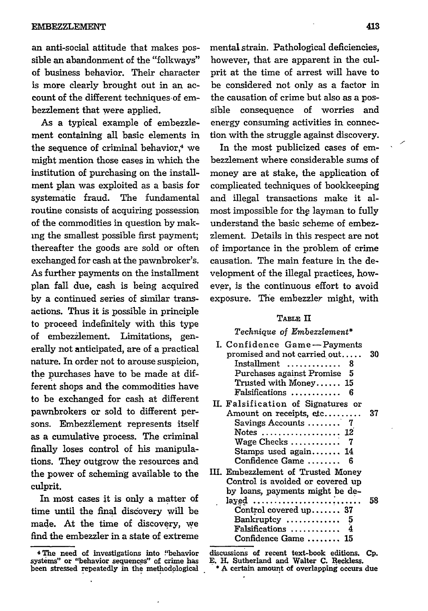an anti-social attitude that makes possible an abandonment of the "folkways" of business behavior. Their character is more clearly brought out in an account of the different techniques of embezzlement that were applied.

As a typical example of embezzlement containing all basic elements in the sequence of criminal behavior,<sup>4</sup> we might mention those cases in which the institution of purchasing on the installment plan was exploited as a basis for systematic fraud. The fundamental routine consists of acquiring possession of the commodities in question by making the smallest possible first payment; thereafter the goods are sold or often exchanged for cash at the pawnbroker's. As further payments on the installment plan fall due, cash is being acquired by a continued series of similar transactions. Thus it is possible in principle to proceed indefinitely with this type of embezzlement. Limitations, generally not anticipated, are of a practical nature. In order not to arouse suspicion, the purchases have to be made at different shops and the commodities have to be exchanged for cash at different pawnbrokers or sold to different persons. Embezzlement represents itself as a cumulative process. The criminal finally loses control of his manipulations. They outgrow the resources and the power of scheming available to the culprit.

In most cases it is only a matter of time until the final discovery will be made. At the time of discovery, we find the embezzler in a state of extreme mental strain. Pathological deficiencies, however, that are apparent in the culprit at the time of arrest will have to be considered not only as a factor in the causation of crime but also as a possible consequence of worries and energy consuming activities in connection with the struggle against discovery.

In the most publicized cases of embezzlement where considerable sums of money are at stake, the application of complicated techniques of bookkeeping and illegal transactions make it almost impossible for the layman to fully understand the basic scheme of embezzlement. Details in this respect are not of importance in the problem of crime causation. The main feature in the development of the illegal practices, however, is the continuous effort to avoid exposure. The embezzler might, with

#### TABLE: **II**

#### *Technique of Embezzlement\**

| I. Confidence Game-Payments<br>promised and not carried out<br>$\operatorname{Installment}$ $\ldots \ldots \ldots \ldots$<br>8<br>Purchases against Promise 5<br>Trusted with Money $15$<br>Falsifications<br>6    | 30 |
|--------------------------------------------------------------------------------------------------------------------------------------------------------------------------------------------------------------------|----|
| II. Falsification of Signatures or<br>Amount on receipts, etc<br>Savings Accounts<br>Notes $12$<br>Wage Checks<br>Stamps used again 14<br>$Confidence$ $Game$ $\ldots$<br>6                                        | 37 |
| III. Embezzlement of Trusted Money<br>Control is avoided or covered up<br>by loans, payments might be de-<br>layed<br>Control covered up 37<br>Bankruptcy<br>5<br>${\rm Falsification}$ $4$<br>Confidence Game  15 | 58 |

discussions of recent text-book editions. **Cp. E. IL** Sutherland and Walter **C.** Reckless.

<sup>&</sup>lt;sup>4</sup> The need of investigations into "behavior systems" or "behavior sequences" of crime has been stressed repeatedly in the methodological

<sup>\*</sup> A certain amount of overlapping occurs due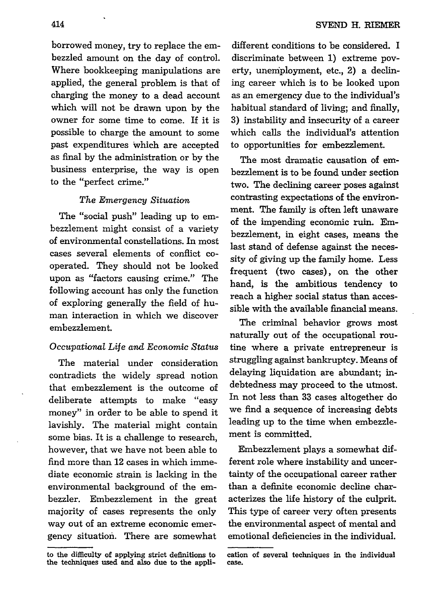borrowed money, try to replace the embezzled amount on the day of control. Where bookkeeping manipulations are applied, the general problem is that of charging the money to a dead account which will not be drawn upon by the owner for some time to come. If it is possible to charge the amount to some past expenditures Which are accepted as final by the administration or by the business enterprise, the way is open to the "perfect crime."

## *The Emergency Situation*

The "social push" leading up to embezzlement might consist of a variety of environmental constellations. In most cases several elements of conflict cooperated. They should not be looked upon as "factors causing crime." The following account has only the function of exploring generally the field of human interaction in which we discover embezzlement.

#### *Occupational Life and* Economic *Status*

The material under consideration contradicts the widely spread notion that embezzlement is the outcome of deliberate attempts to make "easy money" in order to be able to spend it lavishly. The material might contain some bias. It is a challenge to research, however, that we have not been able to find more than 12 cases in which immediate economic strain is lacking in the environmental background of the embezzler. Embezzlement in the great majority of cases represents the only way out of an extreme economic emergency situation. There are somewhat

different conditions to be considered. I discriminate between **1)** extreme poverty, uneniployment, etc., 2) a declining career which is to be looked upon as an emergency due to the individual's habitual standard of living; and finally, 3) instability and insecurity of a career which calls the individual's attention to opportunities for embezzlement.

The most dramatic causation of embezzlement is to be found under section two. The declining career poses against contrasting expectations of the environment. The family is often left unaware of the impending economic ruin. Embezzlement, in eight cases, means the last stand of defense against the necessity of giving up the family home. Less frequent (two cases), on the other hand, is the ambitious tendency to reach a higher social status than accessible with the available financial means.

The criminal behavior grows most naturally out of the occupational routine where a private entrepreneur is struggling against bankruptcy. Means of delaying liquidation are abundant; indebtedness may proceed to the utmost. In not less than 33 cases altogether do we find a sequence of increasing debts leading up to the time when embezzlement is committed.

Embezzlement plays a somewhat different role where instability and uncertainty of the occupational career rather than a definite economic decline characterizes the life history of the culprit. This type of career very often presents the environmental aspect of mental and emotional deficiencies in the individual.

**to the** difficulty of applying strict definitions to **the techniques used and also due to the appli-**

cation **of** several **techniques** in **the** individual **case.**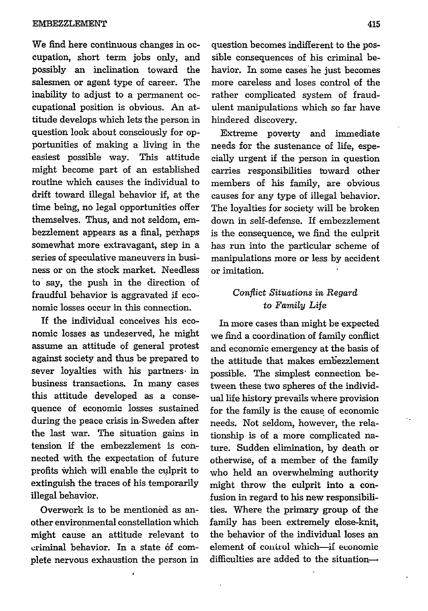#### EMBEZZLEMENT

We find here continuous changes in occupation, short term jobs only, and possibly an inclination toward the salesmen or agent type of career. The inability to adjust to a permanent occupational position is obvious. An attitude develops which lets the person in question look about consciously for opportunities of making a living in the easiest possible way. This attitude might become part of an established routine which causes the individual to drift toward illegal behavior if, at the time being, no legal opportunities offer themselves. Thus, and not seldom, embezzlement appears as a final, perhaps somewhat more extravagant, step in a series of speculative maneuvers in business or on the stock market. Needless to say, the push in the direction of fraudful behavior is aggravated if economic losses occur in this connection.

If the individual conceives his economic losses as undeserved, he might assume an attitude of general protest against society and thus be prepared to sever loyalties with his partners- in business transactions. In many cases this attitude developed as a consequence of economic losses sustained during the peace crisis in Sweden after the last war. The situation gains in tension if the embezzlement is connected with the expectation of future profits which will enable the culprit to extinguish the traces of his temporarily illegal behavior.

Overwork is to be mentioned as another environmental constellation which might cause an attitude relevant to criminal behavior. In a state **6f** complete nervous exhaustion the person in question becomes indifferent to the possible consequences of his criminal behavior. In some cases he just becomes more careless and loses control of the rather complicated system of fraudulent manipulations which so far have hindered discovery.

Extreme poverty and immediate needs for the sustenance of life, especially urgent if the person in question carries responsibilities toward other members of his family, are obvious causes for any type of illegal behavior. The loyalties for society will be broken down in self-defense. If embezzlement is the consequence, we find the culprit has run into the particular scheme of manipulations more or less by accident or imitation.

## *Conflict Situations in Regard to Family Life*

In more cases than might be expected we find a coordination of family conflict and economic emergency at the basis of the attitude that makes embezzlement possible. The simplest connection between these two spheres of the individual life history prevails where provision for the family is the cause of economic needs. Not seldom, however, the relationship is of a more complicated nature. Sudden elimination, by death or otherwise, of a member of the family who held an overwhelming authority might throw the culprit into a confusion in regard to his new responsibilities. Where the primary group of the family has been extremely close-knit, the behavior of the individual loses an element of control which-if economic difficulties are added to the situation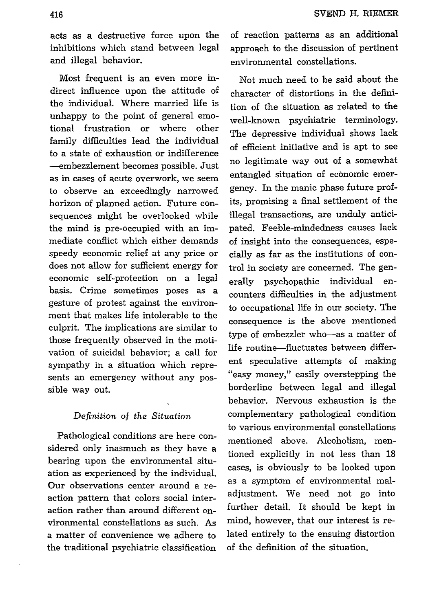acts as a destructive force upon the inhibitions which stand between legal and illegal behavior.

Most frequent is an even more indirect influence upon the attitude of the individual. Where married life is unhappy to the point of general emotional frustration or where other family difficulties lead the individual to a state of exhaustion or indifference -embezzlement becomes possible. Just as in cases of acute overwork, we seem to observe an exceedingly narrowed horizon of planned action. Future consequences might be overlooked while the mind is pre-occupied with an immediate conflict which either demands speedy economic relief at any price or does not allow for sufficient energy for economic self-protection on a legal basis. Crime sometimes poses as a gesture of protest against the environment that makes life intolerable to the culprit. The implications are similar to those frequently observed in the motivation of suicidal behavior; a call for sympathy in a situation which represents an emergency without any possible way out.

## *Definition* of *the Situation*

Pathological conditions are here considered only inasmuch as they have a bearing upon the environmental situation as experienced by the individual. Our observations center around a reaction pattern that colors social interaction rather than around different environmental constellations as such. As a matter of convenience we adhere to the traditional psychiatric classification

of reaction patterns as an additional approach to the discussion of pertinent environmental constellations.

Not much need to be said about the character of distortions in the definition of the situation as related to the well-known psychiatric terminology. The depressive individual shows lack of efficient initiative and is apt to see no legitimate way out of a somewhat entangled situation of economic emergency. In the manic phase future profits, promising a final settlement of the illegal transactions, are unduly anticipated. Feeble-mindedness causes lack of insight into the consequences, especially as far as the institutions of control in society are concerned. The generally psychopathic individual encounters difficulties in the adjustment to occupational life in our society. The consequence is the above mentioned type of embezzler who--as a matter of life routine-fluctuates between different speculative attempts of making "easy money," easily overstepping the borderline between legal and illegal behavior. Nervous exhaustion is the complementary pathological condition to various environmental constellations mentioned above. Alcoholism, mentioned explicitly in not less than 18 cases, is obviously to be looked upon as a symptom of environmental maladjustment. We need not go into further detail. It should be kept in mind, however, that our interest is related entirely to the ensuing distortion of the definition of the situation.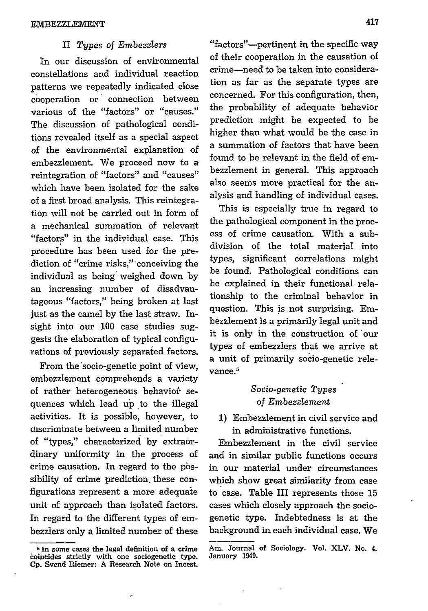## II *Types of Embezzlers*

In our discussion of environmental constellations and individual reaction patterns we repeatedly indicated close cooperation or connection between various of the "factors" or "causes." The discussion of pathological conditions revealed itself as a special aspect of the environmental explanation of embezzlement. We proceed now to a reintegration of "factors" and "causes" which have been isolated for the sake of a first broad analysis. This reintegration will not be carried out in form of a mechanical summation of relevant "factors" in the individual case. This procedure has been used for the prediction of "crime risks,"'conceiving the individual as being' weighed down by an increasing number of disadvantageous "factors," being broken at last just as the camel by the last straw. Insight into our 100 case studies suggests the elaboration of typical configurations of previously separated factors.

From the socio-genetic point of view, embezzlement comprehends a variety of rather heterogeneous behavior sequences which lead up to the illegal activities. It is possible, however, to discriminate between a limited number of "types," characterized by extraordinary uniformity in the process of crime causation. In regard to the possibility of crime prediction these configurations represent a more adequaie unit of approach than isolated factors. In regard to the different types of embezzlers only a limited number of these

"factors"-pertinent in the specific way of their cooperation in the causation of crime-need to be taken into consideration as far as the separate types are concerned. For this configuration, then, the probability of adequate behavior prediction might be expected to be higher than what would be the case in a summation of factors that have been found to be relevant in the field of embezzlement in general. This approach also seems more practical for the analysis and handling of individual cases.

This is especially true in regard to the pathological component in the process of crime causation. With a subdivision of the total material into types, significant correlations might be found. Pathological conditions can be explained in their functional relationship to the criminal behavior in question. This is not surprising. Embezzlement is a primarily legal unit and it is only in the construction of 'our types of embezzlers that we arrive at a unit of primarily socio-genetic relevance.<sup>5</sup>

## *Socio-genetic Types* of *Embezzlement*

1) Embezzlement in civil service and in administrative functions.

Embezzlement in the civil service and in similar public functions occurs in our material under circumstances which show great similarity from case to case. Table III represents those 15 cases which closely approach the sociogenetic type. Indebtedness is at the background in each individual case. We

**<sup>5</sup> In** some **cases** the legal definition of a crime **coincides** strictly with **one sociogenetie type. Cp. Svend Riemer: A Research Note** on Incest.

**Am. Journal of Sociology. Vol. XLV. No. 4.** January **1940.**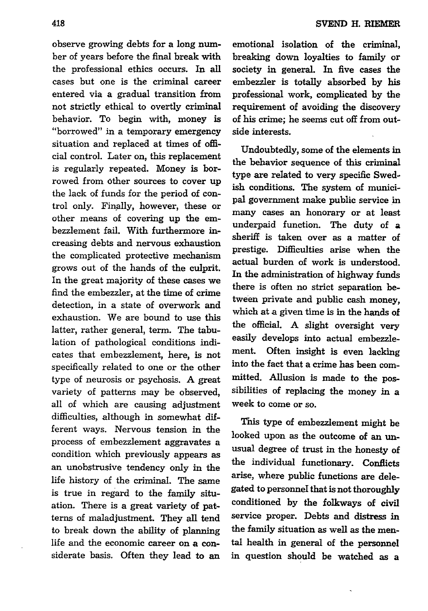observe growing debts for a long number of years before the final break with the professional ethics occurs. In all cases but one is the criminal career entered via a gradual transition from not strictly ethical to overtly criminal behavior. To begin with, money is "borrowed" in a temporary emergency situation and replaced at times of official control. Later on, this replacement is regularly repeated. Money is borrowed from other sources to cover up the lack of funds for the period of control only. Finally, however, these or other means of covering up the embezzlement fail. With furthermore increasing debts and nervous exhaustion the complicated protective mechanism grows out of the hands of the culprit. In the great majority of these cases we find the embezzler, at the time of crime detection, in a state of overwork and exhaustion. We are bound to use this latter, rather general, term. The tabulation of pathological conditions indicates that embezzlement, here, is not specifically related to one or the other type of neurosis or psychosis. A great variety of patterns may be observed, all of which are causing adjustment difficulties, although in somewhat different ways. Nervous tension in the process of embezzlement aggravates a condition which previously appears as an unobstrusive tendency only in the life history of the criminal. The same is true in regard to the family situation. There is a great variety of patterns of maladjustment. They all tend to break down the ability of planning life and the economic career on a considerate basis. Often they lead to an

emotional isolation of the criminal, breaking down loyalties to family or society in general. In five cases the embezzler is totally absorbed by his professional work, complicated by the requirement of avoiding the discovery of his crime; he seems cut off from outside interests.

Undoubtedly, some of the elements in the behavior sequence of this criminal type are related to very specific Swedish conditions. The system of municipal government make public service in many cases an honorary or at least underpaid function. The duty of a sheriff is taken over as a matter of prestige. Difficulties arise when the actual burden of work is understood. In the administration of highway funds there is often no strict separation **be**tween private and public cash money, which at a given time is in the hands of the official. A slight oversight very easily develops into actual embezzlement. Often insight is even lacking into the fact that a crime has been committed. Allusion is made to the possibilities of replacing the money in a week to come or so.

This type of embezzlement might be looked upon as the outcome of an unusual degree of trust in the honesty of the individual functionary. Conflicts arise, where public functions are delegated to personnel that is not thoroughly conditioned by the folkways of civil service proper. Debts and distress in the family situation as well as the mental health in general of the personnel in question should be watched as a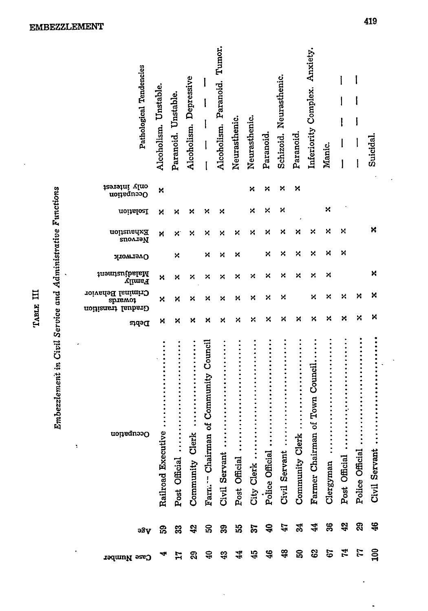|   | Pathological Tendencies                            | Alcoholism. Unstable. | Paranoid. Unstable. | Alcoholism. Depressive    | I<br>ļ                                            | Alcoholism. Paranoid. Tumor. | Neurasthenic. | Neurasthenic. | Paranoid        | Schizoid. Neurasthenic. | Paranoid        | Inferiority Complex. Anxiety.   | Manic.    |                   |                           | Suicidal           |  |
|---|----------------------------------------------------|-----------------------|---------------------|---------------------------|---------------------------------------------------|------------------------------|---------------|---------------|-----------------|-------------------------|-----------------|---------------------------------|-----------|-------------------|---------------------------|--------------------|--|
|   | only interest<br>Occupation                        | ×                     |                     |                           |                                                   |                              |               | ×             | ×               | ×                       | ×               |                                 |           |                   |                           |                    |  |
|   | Isolation                                          | ×                     | ×                   | ×                         | ×                                                 | ×                            |               | ×             | ×               | ×                       |                 |                                 | ×         |                   |                           |                    |  |
|   | uojisneųxą<br>snovieW                              | ×                     | ×                   | ×                         | ×                                                 | ×                            | ×             | ×             | ×               | ×                       | ×               | ×                               | ×         | ×                 |                           | ×                  |  |
|   | Overwork                                           |                       | ×                   |                           | ×                                                 | ×                            | ×             |               | ×               | ×                       | ×               | ×                               | ×         | ×                 |                           |                    |  |
|   | tasmenibalaM<br>Family                             | ×                     | ×                   | ×                         | ×                                                 | ×                            | ×             | ×             | ×               | ×                       | ×               | ×                               | ×         |                   |                           | ×                  |  |
|   | Triminal Behavior<br>spremot<br>Gradual transition | ×                     | ×                   | ×                         | ×                                                 | ×                            | ×             | ×             | ×               | ×                       |                 | ×                               | ×         | ×                 | ×                         | ×                  |  |
|   | Depts                                              | ×                     | ×                   | ×                         | ×                                                 | ×                            | ×             | ×             | ×               | ×                       | ×               | ×                               | ×         | ×                 | ×                         | ×                  |  |
| ţ | Occupation                                         | Executive<br>Railroad | Post Official       | Community Clerk           | Farn. <sup>--</sup> Chairman of Community Council | Civil Servant                | Post Official | City Clerk    | Police Official | Civil Servant           | Community Clerk | Farmer Chairman of Town Council | Clergyman | Post Official     | Police Official           | ٠<br>Civil Servant |  |
|   | y&e                                                | 59                    | 33                  | $\boldsymbol{z}$          | នី                                                | 39                           | 55            | 24            | $\mathbf{a}$    | 47                      | 34              | 44                              | 36        | $\boldsymbol{42}$ | $\boldsymbol{\mathsf{a}}$ | 46                 |  |
|   | Case Number                                        |                       | ដ                   | $\boldsymbol{\mathsf{a}}$ | Ş                                                 | $\mathbf{G}$                 | 44            | 45            | 46              | 48                      | 50              | 62                              | 5         | 74                | 77                        | $\frac{8}{100}$    |  |

à,

Ö. <u>د</u>

TABLE III

 $\overline{a}$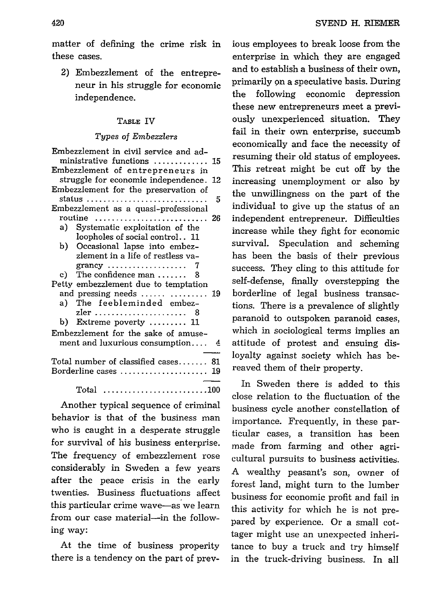matter of defining the crime risk in these cases.

2) Embezzlement of the entrepreneur in his struggle for economic independence.

#### TABLE IV

#### *Types of Embezzlers*

| Embezzlement in civil service and ad-                                         |                |
|-------------------------------------------------------------------------------|----------------|
| ministrative functions  15                                                    |                |
| Embezzlement of entrepreneurs in                                              |                |
| struggle for economic independence. 12                                        |                |
| Embezzlement for the preservation of                                          |                |
| status                                                                        | 5              |
| Embezzlement as a quasi-professional                                          |                |
|                                                                               |                |
| a) Systematic exploitation of the                                             |                |
| loopholes of social control 11                                                |                |
| b) Occasional lapse into embez-                                               |                |
| zlement in a life of restless va-                                             |                |
|                                                                               |                |
| c) The confidence man $8$                                                     |                |
| Petty embezzlement due to temptation                                          |                |
| and pressing needs   19                                                       |                |
| a) The feebleminded embez-                                                    |                |
|                                                                               |                |
| b) Extreme poverty  11                                                        |                |
| Embezzlement for the sake of amuse-                                           |                |
| ment and luxurious consumption                                                | $\overline{a}$ |
|                                                                               |                |
| Total number of classified cases 81                                           |                |
| $\rm Border$ line cases $\ldots \ldots \ldots \ldots \ldots \ldots \ldots$ 19 |                |
|                                                                               |                |
| $Total$ 100                                                                   |                |
|                                                                               |                |

Another typical sequence of criminal behavior is that of the business man who is caught in a desperate struggle for survival of his business enterprise. The frequency of embezzlement rose considerably in Sweden a few years after the peace crisis in the early twenties. Business fluctuations affect this particular crime wave-as we learn from our case material—in the following way:

At the time of business properity there is a tendency on the part of prey-

ious employees to break loose from the enterprise in which they are engaged and to establish a business of their own, primarily on a speculative basis. During the following economic depression these new entrepreneurs meet a previously unexperienced situation. They fail in their own enterprise, succumb economically and face the necessity of resuming their old status of employees. This retreat might be cut off by the increasing unemployment or also by the unwillingness on the part of the individual to give up the status of an independent entrepreneur. Difficulties increase while they fight for economic survival. Speculation and scheming has been the basis of their previous success. They cling to this attitude for self-defense, finally overstepping the borderline of legal business transactions. There is a prevalence of slightly paranoid to outspoken paranoid cases, which in sociological terms implies an attitude of protest and ensuing disloyalty against society which has bereaved them of their property.

In Sweden there is added to this close relation to the fluctuation of the business cycle another constellation of importance. Frequently, in these particular cases, a transition has been made from farming and other agricultural pursuits to business activities. A wealthy peasant's son, owner of forest land, might turn to the lumber business for economic profit and fail in this activity for which he is not prepared by experience. Or a small cottager might use an unexpected inheritance to buy a truck and try himself in the truck-driving business. In all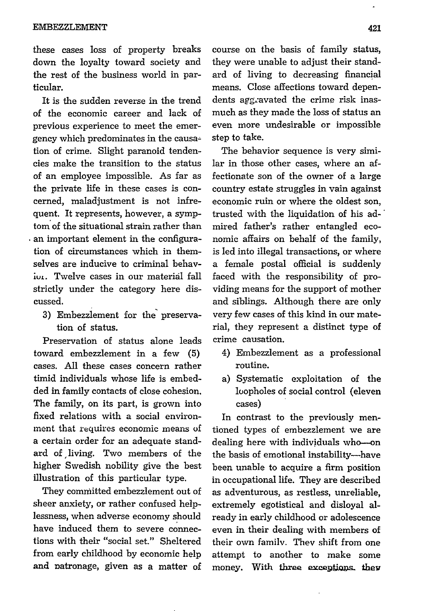these cases loss of property breaks down the loyalty toward society and the rest of the business world in particular.

It is the sudden reverse in the trend of the economic career and lack of previous experience to meet the emergency which predominates in the causation of crime. Slight paranoid tendencies make the transition to the status of an employee impossible. As far as the private life in these cases is concerned, maladjustment is not infrequent. It represents, however, a symptom of the situational strain rather than an important element in the configuration of circumstances which in themselves are inducive to criminal behav**iui.** Twelve cases in our material fall strictly under the category here discussed.

3) Embezzlement for the preservation of status.

Preservation of status alone leads toward embezzlement in a few (5) cases. **All** these cases concern rather timid individuals whose life is embedded in family contacts of close cohesion, The family, on its part, is grown into fixed relations with a social environment that requires economic means of a certain order for an adequate standard of living. Two members of the higher Swedish nobility give the best illustration of this particular type.

They committed embezzlement out of sheer anxiety, or rather confused helplessness, when adverse economy should have induced them to severe connections with their "social set." Sheltered from early childhood by economic help and natronage, given as a matter of course on the basis of family status, they were unable to adjust their standard of living to decreasing financial means. Close affections toward dependents agg:avated the crime risk inasmuch as they made the loss of status an even more undesirable or impossible step to take.

The behavior sequence is very similar in those other cases, where an affectionate son of the owner of a large country estate struggles in vain against economic ruin or where the oldest son, trusted with the liquidation of his ad-' mired father's rather entangled economic affairs on behalf of the family, is led into illegal transactions, or where a female postal official is suddenly faced with the responsibility of providing means for the support of mother and siblings. Although there are only very few cases of this kind in our material, they represent a distinct type of crime causation.

- 4) Embezzlement as a professional routine.
- a) Systematic exploitation of the loopholes of social control (eleven cases)

In contrast to the previously mentioned types of embezzlement we are dealing here with individuals who---on the basis of emotional instability-have been unable to acquire a firm position in occupational life. They are described as adventurous, as restless, unreliable, extremely egotistical and disloyal already in early childhood or adolescence even in their dealing with members of their own family. Thev shift from one attempt to another to make some money. With three exceptions they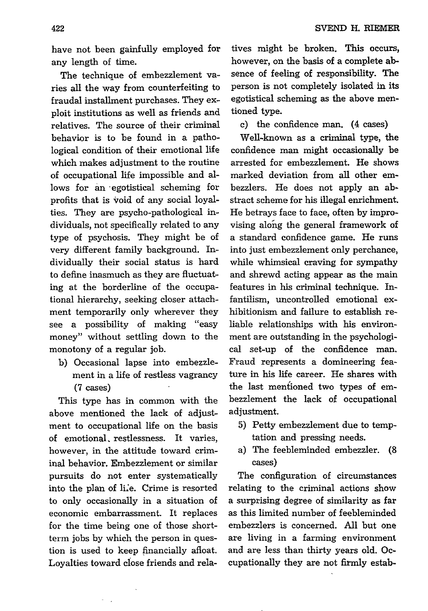have not been gainfully employed for any length of time.

The technique of embezzlement varies all the way from counterfeiting to fraudal installment purchases. They exploit institutions as well as friends and relatives. The source of their criminal behavior is to be found in a pathological condition of their emotional life which makes adjustment to the routine of occupational life impossible and allows for an -egotistical scheming for profits that is void of any social loyalties. They are psycho-pathological individuals, not specifically related to any type of psychosis. They might be of very different family background. Individually their social status is hard to define inasmuch as they are fluctuating at the borderline of the occupational hierarchy, seeking closer attachment temporarily only wherever they see a possibility of making "easy money" without settling down to the monotony of a regular job.

b) Occasional lapse into embezzlement in a life of restless vagrancy (7 cases)

This type has in common with the above mentioned the lack of adjustment to occupational life on the basis of emotional, restlessness. It varies, however, in the attitude toward criminal behavior. Embezzlement or similar pursuits do not enter systematically into the plan of li:e. Crime is resorted to only occasionally in a situation of economic embarrassment. It replaces for the time being one of those shortterm jobs by which the person in question is used to keep financially afloat. Loyalties toward close friends and relatives might be broken. This occurs, however, on the basis of a complete absence of feeling of responsibility. The person is not completely isolated in its egotistical scheming as the above mentioned type.

c) the confidence man. (4 cases)

Well-known as a criminal type, the confidence man might occasionally be arrested for embezzlement. He shows marked deviation from all other embezzlers. He does not apply an abstract scheme for his illegal enrichment. He betrays face to face, often by improvising along the general framework of a standard confidence game. He runs into just embezzlement only perchance, while whimsical craving for sympathy and shrewd acting appear as the main features in his criminal technique. Infantilism, uncontrolled emotional exhibitionism and failure to establish reliable relationships with his environment are outstanding in the psychological set-up of the confidence man. Fraud represents a domineering feature in his life career. He shares with the last mentioned two types of embezzlement the lack of occupational adjustment.

- 5) Petty embezzlement due to temptation and pressing needs.
- a) The feebleminded embezzler. (8 cases)

The configuration of circumstances relating to the criminal actions show a surprising degree of similarity as far as this limited number of feebleminded embezzlers is concerned. All but one are living in a farming environment and are less than thirty years old. Occupationally they are not firmly estab-